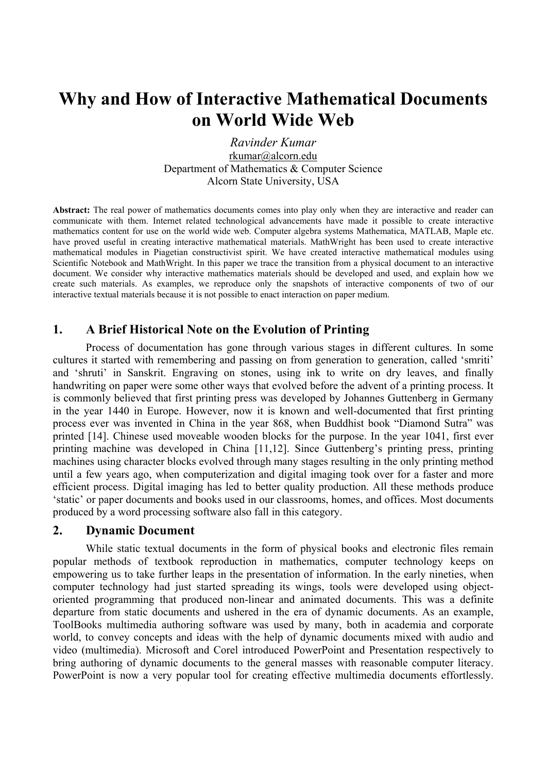# **Why and How of Interactive Mathematical Documents on World Wide Web**

*Ravinder Kumar*  rkumar@alcorn.edu Department of Mathematics & Computer Science Alcorn State University, USA

**Abstract:** The real power of mathematics documents comes into play only when they are interactive and reader can communicate with them. Internet related technological advancements have made it possible to create interactive mathematics content for use on the world wide web. Computer algebra systems Mathematica, MATLAB, Maple etc. have proved useful in creating interactive mathematical materials. MathWright has been used to create interactive mathematical modules in Piagetian constructivist spirit. We have created interactive mathematical modules using Scientific Notebook and MathWright. In this paper we trace the transition from a physical document to an interactive document. We consider why interactive mathematics materials should be developed and used, and explain how we create such materials. As examples, we reproduce only the snapshots of interactive components of two of our interactive textual materials because it is not possible to enact interaction on paper medium.

## **1. A Brief Historical Note on the Evolution of Printing**

Process of documentation has gone through various stages in different cultures. In some cultures it started with remembering and passing on from generation to generation, called 'smriti' and 'shruti' in Sanskrit. Engraving on stones, using ink to write on dry leaves, and finally handwriting on paper were some other ways that evolved before the advent of a printing process. It is commonly believed that first printing press was developed by Johannes Guttenberg in Germany in the year 1440 in Europe. However, now it is known and well-documented that first printing process ever was invented in China in the year 868, when Buddhist book "Diamond Sutra" was printed [14]. Chinese used moveable wooden blocks for the purpose. In the year 1041, first ever printing machine was developed in China [11,12]. Since Guttenberg's printing press, printing machines using character blocks evolved through many stages resulting in the only printing method until a few years ago, when computerization and digital imaging took over for a faster and more efficient process. Digital imaging has led to better quality production. All these methods produce 'static' or paper documents and books used in our classrooms, homes, and offices. Most documents produced by a word processing software also fall in this category.

## **2. Dynamic Document**

While static textual documents in the form of physical books and electronic files remain popular methods of textbook reproduction in mathematics, computer technology keeps on empowering us to take further leaps in the presentation of information. In the early nineties, when computer technology had just started spreading its wings, tools were developed using objectoriented programming that produced non-linear and animated documents. This was a definite departure from static documents and ushered in the era of dynamic documents. As an example, ToolBooks multimedia authoring software was used by many, both in academia and corporate world, to convey concepts and ideas with the help of dynamic documents mixed with audio and video (multimedia). Microsoft and Corel introduced PowerPoint and Presentation respectively to bring authoring of dynamic documents to the general masses with reasonable computer literacy. PowerPoint is now a very popular tool for creating effective multimedia documents effortlessly.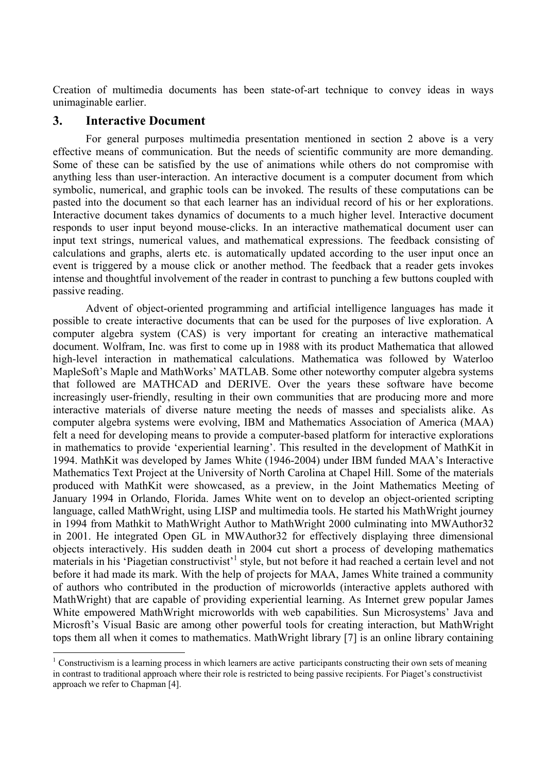Creation of multimedia documents has been state-of-art technique to convey ideas in ways unimaginable earlier.

## **3. Interactive Document**

 $\overline{a}$ 

For general purposes multimedia presentation mentioned in section 2 above is a very effective means of communication. But the needs of scientific community are more demanding. Some of these can be satisfied by the use of animations while others do not compromise with anything less than user-interaction. An interactive document is a computer document from which symbolic, numerical, and graphic tools can be invoked. The results of these computations can be pasted into the document so that each learner has an individual record of his or her explorations. Interactive document takes dynamics of documents to a much higher level. Interactive document responds to user input beyond mouse-clicks. In an interactive mathematical document user can input text strings, numerical values, and mathematical expressions. The feedback consisting of calculations and graphs, alerts etc. is automatically updated according to the user input once an event is triggered by a mouse click or another method. The feedback that a reader gets invokes intense and thoughtful involvement of the reader in contrast to punching a few buttons coupled with passive reading.

Advent of object-oriented programming and artificial intelligence languages has made it possible to create interactive documents that can be used for the purposes of live exploration. A computer algebra system (CAS) is very important for creating an interactive mathematical document. Wolfram, Inc. was first to come up in 1988 with its product Mathematica that allowed high-level interaction in mathematical calculations. Mathematica was followed by Waterloo MapleSoft's Maple and MathWorks' MATLAB. Some other noteworthy computer algebra systems that followed are MATHCAD and DERIVE. Over the years these software have become increasingly user-friendly, resulting in their own communities that are producing more and more interactive materials of diverse nature meeting the needs of masses and specialists alike. As computer algebra systems were evolving, IBM and Mathematics Association of America (MAA) felt a need for developing means to provide a computer-based platform for interactive explorations in mathematics to provide 'experiential learning'. This resulted in the development of MathKit in 1994. MathKit was developed by James White (1946-2004) under IBM funded MAA's Interactive Mathematics Text Project at the University of North Carolina at Chapel Hill. Some of the materials produced with MathKit were showcased, as a preview, in the Joint Mathematics Meeting of January 1994 in Orlando, Florida. James White went on to develop an object-oriented scripting language, called MathWright, using LISP and multimedia tools. He started his MathWright journey in 1994 from Mathkit to MathWright Author to MathWright 2000 culminating into MWAuthor32 in 2001. He integrated Open GL in MWAuthor32 for effectively displaying three dimensional objects interactively. His sudden death in 2004 cut short a process of developing mathematics materials in his 'Piagetian constructivist'<sup>[1](#page-1-0)</sup> style, but not before it had reached a certain level and not before it had made its mark. With the help of projects for MAA, James White trained a community of authors who contributed in the production of microworlds (interactive applets authored with MathWright) that are capable of providing experiential learning. As Internet grew popular James White empowered MathWright microworlds with web capabilities. Sun Microsystems' Java and Microsft's Visual Basic are among other powerful tools for creating interaction, but MathWright tops them all when it comes to mathematics. MathWright library [7] is an online library containing

<span id="page-1-0"></span><sup>&</sup>lt;sup>1</sup> Constructivism is a learning process in which learners are active participants constructing their own sets of meaning in contrast to traditional approach where their role is restricted to being passive recipients. For Piaget's constructivist approach we refer to Chapman [4].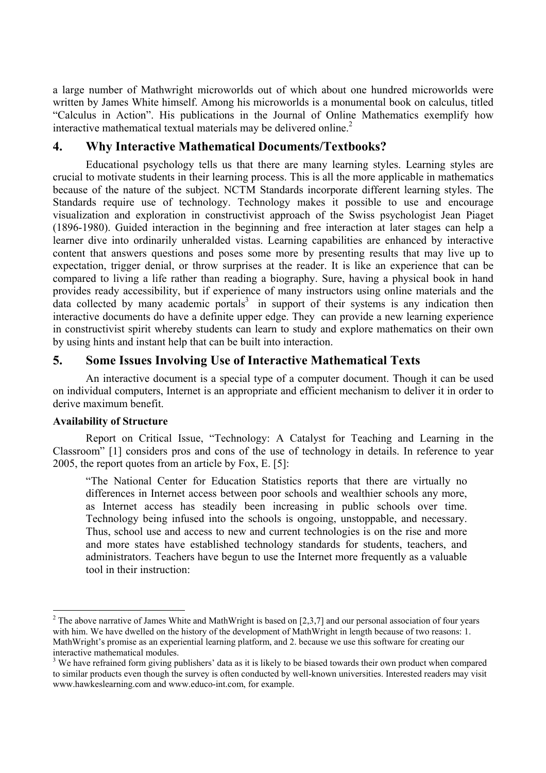a large number of Mathwright microworlds out of which about one hundred microworlds were written by James White himself. Among his microworlds is a monumental book on calculus, titled "Calculus in Action". His publications in the Journal of Online Mathematics exemplify how interactive mathematical textual materials may be delivered online.<sup>2</sup>

# **4. Why Interactive Mathematical Documents/Textbooks?**

Educational psychology tells us that there are many learning styles. Learning styles are crucial to motivate students in their learning process. This is all the more applicable in mathematics because of the nature of the subject. NCTM Standards incorporate different learning styles. The Standards require use of technology. Technology makes it possible to use and encourage visualization and exploration in constructivist approach of the Swiss psychologist Jean Piaget (1896-1980). Guided interaction in the beginning and free interaction at later stages can help a learner dive into ordinarily unheralded vistas. Learning capabilities are enhanced by interactive content that answers questions and poses some more by presenting results that may live up to expectation, trigger denial, or throw surprises at the reader. It is like an experience that can be compared to living a life rather than reading a biography. Sure, having a physical book in hand provides ready accessibility, but if experience of many instructors using online materials and the data collected by many academic portals<sup>[3](#page-2-1)</sup> in support of their systems is any indication then interactive documents do have a definite upper edge. They can provide a new learning experience in constructivist spirit whereby students can learn to study and explore mathematics on their own by using hints and instant help that can be built into interaction.

# **5. Some Issues Involving Use of Interactive Mathematical Texts**

 An interactive document is a special type of a computer document. Though it can be used on individual computers, Internet is an appropriate and efficient mechanism to deliver it in order to derive maximum benefit.

### **Availability of Structure**

 $\overline{a}$ 

Report on Critical Issue, "Technology: A Catalyst for Teaching and Learning in the Classroom" [1] considers pros and cons of the use of technology in details. In reference to year 2005, the report quotes from an article by Fox, E. [5]:

"The National Center for Education Statistics reports that there are virtually no differences in Internet access between poor schools and wealthier schools any more, as Internet access has steadily been increasing in public schools over time. Technology being infused into the schools is ongoing, unstoppable, and necessary. Thus, school use and access to new and current technologies is on the rise and more and more states have established technology standards for students, teachers, and administrators. Teachers have begun to use the Internet more frequently as a valuable tool in their instruction:

<span id="page-2-0"></span><sup>&</sup>lt;sup>2</sup> The above narrative of James White and MathWright is based on [2,3,7] and our personal association of four years with him. We have dwelled on the history of the development of MathWright in length because of two reasons: 1. MathWright's promise as an experiential learning platform, and 2. because we use this software for creating our interactive mathematical modules.

<span id="page-2-1"></span> $3$  We have refrained form giving publishers' data as it is likely to be biased towards their own product when compared to similar products even though the survey is often conducted by well-known universities. Interested readers may visit www.hawkeslearning.com and www.educo-int.com, for example.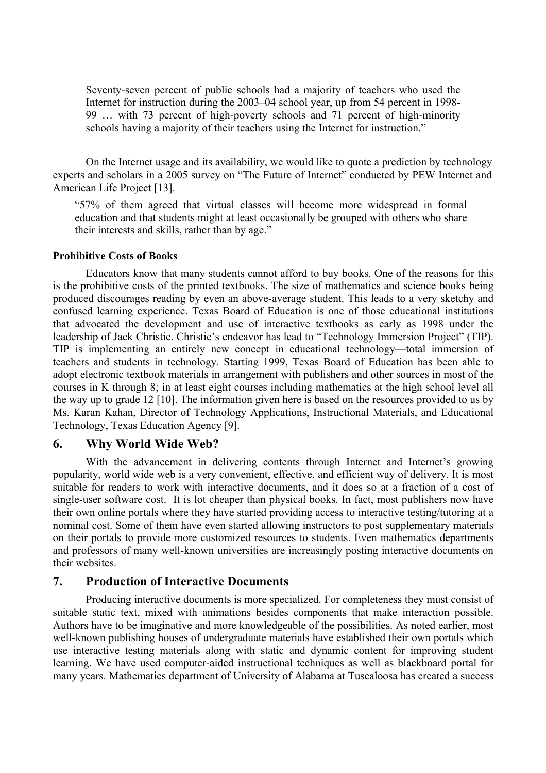Seventy-seven percent of public schools had a majority of teachers who used the Internet for instruction during the 2003–04 school year, up from 54 percent in 1998- 99 … with 73 percent of high-poverty schools and 71 percent of high-minority schools having a majority of their teachers using the Internet for instruction."

On the Internet usage and its availability, we would like to quote a prediction by technology experts and scholars in a 2005 survey on "The Future of Internet" conducted by PEW Internet and American Life Project [13].

"57% of them agreed that virtual classes will become more widespread in formal education and that students might at least occasionally be grouped with others who share their interests and skills, rather than by age."

#### **Prohibitive Costs of Books**

Educators know that many students cannot afford to buy books. One of the reasons for this is the prohibitive costs of the printed textbooks. The size of mathematics and science books being produced discourages reading by even an above-average student. This leads to a very sketchy and confused learning experience. Texas Board of Education is one of those educational institutions that advocated the development and use of interactive textbooks as early as 1998 under the leadership of Jack Christie. Christie's endeavor has lead to "Technology Immersion Project" (TIP). TIP is implementing an entirely new concept in educational technology—total immersion of teachers and students in technology. Starting 1999, Texas Board of Education has been able to adopt electronic textbook materials in arrangement with publishers and other sources in most of the courses in K through 8; in at least eight courses including mathematics at the high school level all the way up to grade 12 [10]. The information given here is based on the resources provided to us by Ms. Karan Kahan, Director of Technology Applications, Instructional Materials, and Educational Technology, Texas Education Agency [9].

#### **6. Why World Wide Web?**

With the advancement in delivering contents through Internet and Internet's growing popularity, world wide web is a very convenient, effective, and efficient way of delivery. It is most suitable for readers to work with interactive documents, and it does so at a fraction of a cost of single-user software cost. It is lot cheaper than physical books. In fact, most publishers now have their own online portals where they have started providing access to interactive testing/tutoring at a nominal cost. Some of them have even started allowing instructors to post supplementary materials on their portals to provide more customized resources to students. Even mathematics departments and professors of many well-known universities are increasingly posting interactive documents on their websites.

### **7. Production of Interactive Documents**

Producing interactive documents is more specialized. For completeness they must consist of suitable static text, mixed with animations besides components that make interaction possible. Authors have to be imaginative and more knowledgeable of the possibilities. As noted earlier, most well-known publishing houses of undergraduate materials have established their own portals which use interactive testing materials along with static and dynamic content for improving student learning. We have used computer-aided instructional techniques as well as blackboard portal for many years. Mathematics department of University of Alabama at Tuscaloosa has created a success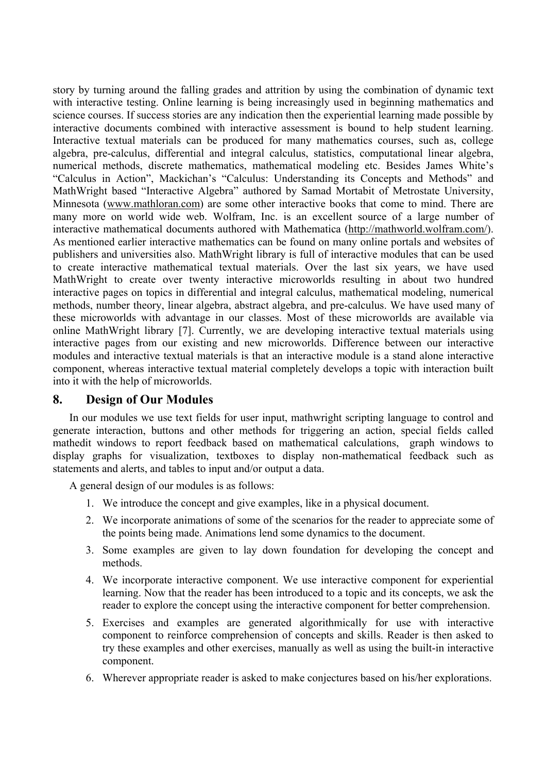story by turning around the falling grades and attrition by using the combination of dynamic text with interactive testing. Online learning is being increasingly used in beginning mathematics and science courses. If success stories are any indication then the experiential learning made possible by interactive documents combined with interactive assessment is bound to help student learning. Interactive textual materials can be produced for many mathematics courses, such as, college algebra, pre-calculus, differential and integral calculus, statistics, computational linear algebra, numerical methods, discrete mathematics, mathematical modeling etc. Besides James White's "Calculus in Action", Mackichan's "Calculus: Understanding its Concepts and Methods" and MathWright based "Interactive Algebra" authored by Samad Mortabit of Metrostate University, Minnesota (www.mathloran.com) are some other interactive books that come to mind. There are many more on world wide web. Wolfram, Inc. is an excellent source of a large number of interactive mathematical documents authored with Mathematica (http://mathworld.wolfram.com/). As mentioned earlier interactive mathematics can be found on many online portals and websites of publishers and universities also. MathWright library is full of interactive modules that can be used to create interactive mathematical textual materials. Over the last six years, we have used MathWright to create over twenty interactive microworlds resulting in about two hundred interactive pages on topics in differential and integral calculus, mathematical modeling, numerical methods, number theory, linear algebra, abstract algebra, and pre-calculus. We have used many of these microworlds with advantage in our classes. Most of these microworlds are available via online MathWright library [7]. Currently, we are developing interactive textual materials using interactive pages from our existing and new microworlds. Difference between our interactive modules and interactive textual materials is that an interactive module is a stand alone interactive component, whereas interactive textual material completely develops a topic with interaction built into it with the help of microworlds.

### **8. Design of Our Modules**

In our modules we use text fields for user input, mathwright scripting language to control and generate interaction, buttons and other methods for triggering an action, special fields called mathedit windows to report feedback based on mathematical calculations, graph windows to display graphs for visualization, textboxes to display non-mathematical feedback such as statements and alerts, and tables to input and/or output a data.

A general design of our modules is as follows:

- 1. We introduce the concept and give examples, like in a physical document.
- 2. We incorporate animations of some of the scenarios for the reader to appreciate some of the points being made. Animations lend some dynamics to the document.
- 3. Some examples are given to lay down foundation for developing the concept and methods.
- 4. We incorporate interactive component. We use interactive component for experiential learning. Now that the reader has been introduced to a topic and its concepts, we ask the reader to explore the concept using the interactive component for better comprehension.
- 5. Exercises and examples are generated algorithmically for use with interactive component to reinforce comprehension of concepts and skills. Reader is then asked to try these examples and other exercises, manually as well as using the built-in interactive component.
- 6. Wherever appropriate reader is asked to make conjectures based on his/her explorations.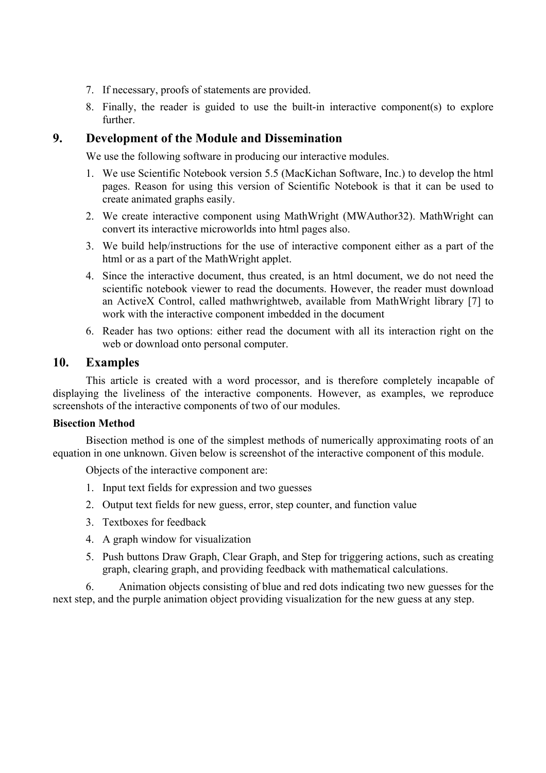- 7. If necessary, proofs of statements are provided.
- 8. Finally, the reader is guided to use the built-in interactive component(s) to explore further.

## **9. Development of the Module and Dissemination**

We use the following software in producing our interactive modules.

- 1. We use Scientific Notebook version 5.5 (MacKichan Software, Inc.) to develop the html pages. Reason for using this version of Scientific Notebook is that it can be used to create animated graphs easily.
- 2. We create interactive component using MathWright (MWAuthor32). MathWright can convert its interactive microworlds into html pages also.
- 3. We build help/instructions for the use of interactive component either as a part of the html or as a part of the MathWright applet.
- 4. Since the interactive document, thus created, is an html document, we do not need the scientific notebook viewer to read the documents. However, the reader must download an ActiveX Control, called mathwrightweb, available from MathWright library [7] to work with the interactive component imbedded in the document
- 6. Reader has two options: either read the document with all its interaction right on the web or download onto personal computer.

## **10. Examples**

This article is created with a word processor, and is therefore completely incapable of displaying the liveliness of the interactive components. However, as examples, we reproduce screenshots of the interactive components of two of our modules.

#### **Bisection Method**

Bisection method is one of the simplest methods of numerically approximating roots of an equation in one unknown. Given below is screenshot of the interactive component of this module.

Objects of the interactive component are:

- 1. Input text fields for expression and two guesses
- 2. Output text fields for new guess, error, step counter, and function value
- 3. Textboxes for feedback
- 4. A graph window for visualization
- 5. Push buttons Draw Graph, Clear Graph, and Step for triggering actions, such as creating graph, clearing graph, and providing feedback with mathematical calculations.

6. Animation objects consisting of blue and red dots indicating two new guesses for the next step, and the purple animation object providing visualization for the new guess at any step.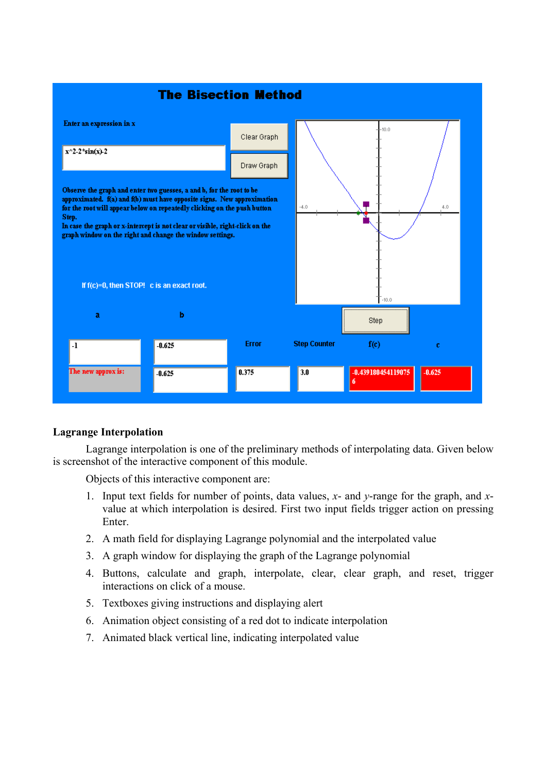

### **Lagrange Interpolation**

Lagrange interpolation is one of the preliminary methods of interpolating data. Given below is screenshot of the interactive component of this module.

Objects of this interactive component are:

- 1. Input text fields for number of points, data values, *x* and *y*-range for the graph, and *x*value at which interpolation is desired. First two input fields trigger action on pressing Enter.
- 2. A math field for displaying Lagrange polynomial and the interpolated value
- 3. A graph window for displaying the graph of the Lagrange polynomial
- 4. Buttons, calculate and graph, interpolate, clear, clear graph, and reset, trigger interactions on click of a mouse.
- 5. Textboxes giving instructions and displaying alert
- 6. Animation object consisting of a red dot to indicate interpolation
- 7. Animated black vertical line, indicating interpolated value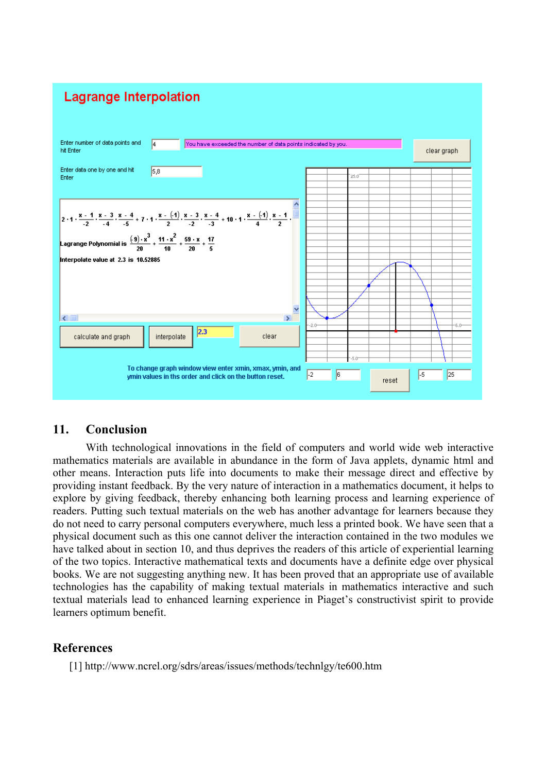

## **11. Conclusion**

With technological innovations in the field of computers and world wide web interactive mathematics materials are available in abundance in the form of Java applets, dynamic html and other means. Interaction puts life into documents to make their message direct and effective by providing instant feedback. By the very nature of interaction in a mathematics document, it helps to explore by giving feedback, thereby enhancing both learning process and learning experience of readers. Putting such textual materials on the web has another advantage for learners because they do not need to carry personal computers everywhere, much less a printed book. We have seen that a physical document such as this one cannot deliver the interaction contained in the two modules we have talked about in section 10, and thus deprives the readers of this article of experiential learning of the two topics. Interactive mathematical texts and documents have a definite edge over physical books. We are not suggesting anything new. It has been proved that an appropriate use of available technologies has the capability of making textual materials in mathematics interactive and such textual materials lead to enhanced learning experience in Piaget's constructivist spirit to provide learners optimum benefit.

## **References**

[1] http://www.ncrel.org/sdrs/areas/issues/methods/technlgy/te600.htm